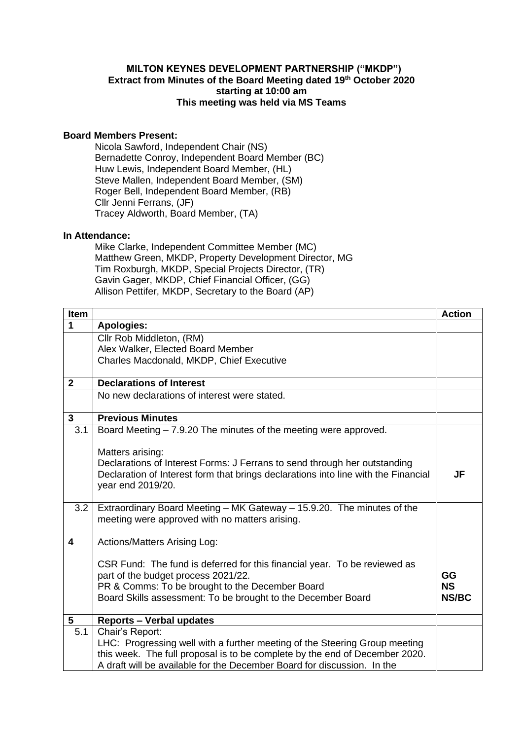## **MILTON KEYNES DEVELOPMENT PARTNERSHIP ("MKDP") Extract from Minutes of the Board Meeting dated 19th October 2020 starting at 10:00 am This meeting was held via MS Teams**

## **Board Members Present:**

Nicola Sawford, Independent Chair (NS) Bernadette Conroy, Independent Board Member (BC) Huw Lewis, Independent Board Member, (HL) Steve Mallen, Independent Board Member, (SM) Roger Bell, Independent Board Member, (RB) Cllr Jenni Ferrans, (JF) Tracey Aldworth, Board Member, (TA)

## **In Attendance:**

Mike Clarke, Independent Committee Member (MC) Matthew Green, MKDP, Property Development Director, MG Tim Roxburgh, MKDP, Special Projects Director, (TR) Gavin Gager, MKDP, Chief Financial Officer, (GG) Allison Pettifer, MKDP, Secretary to the Board (AP)

| Item            |                                                                                    | <b>Action</b>             |
|-----------------|------------------------------------------------------------------------------------|---------------------------|
| 1               | <b>Apologies:</b>                                                                  |                           |
|                 | Cllr Rob Middleton, (RM)                                                           |                           |
|                 | Alex Walker, Elected Board Member                                                  |                           |
|                 | Charles Macdonald, MKDP, Chief Executive                                           |                           |
|                 |                                                                                    |                           |
| $\mathbf{2}$    | <b>Declarations of Interest</b>                                                    |                           |
|                 | No new declarations of interest were stated.                                       |                           |
| $\mathbf{3}$    | <b>Previous Minutes</b>                                                            |                           |
| 3.1             | Board Meeting – 7.9.20 The minutes of the meeting were approved.                   |                           |
|                 |                                                                                    |                           |
|                 | Matters arising:                                                                   |                           |
|                 | Declarations of Interest Forms: J Ferrans to send through her outstanding          |                           |
|                 | Declaration of Interest form that brings declarations into line with the Financial | JF                        |
|                 | year end 2019/20.                                                                  |                           |
| 3.2             | Extraordinary Board Meeting - MK Gateway - 15.9.20. The minutes of the             |                           |
|                 | meeting were approved with no matters arising.                                     |                           |
|                 |                                                                                    |                           |
| 4               | <b>Actions/Matters Arising Log:</b>                                                |                           |
|                 |                                                                                    |                           |
|                 | CSR Fund: The fund is deferred for this financial year. To be reviewed as          |                           |
|                 | part of the budget process 2021/22.                                                | GG                        |
|                 | PR & Comms: To be brought to the December Board                                    | <b>NS</b><br><b>NS/BC</b> |
|                 | Board Skills assessment: To be brought to the December Board                       |                           |
| $5\phantom{.0}$ | <b>Reports - Verbal updates</b>                                                    |                           |
| 5.1             | Chair's Report:                                                                    |                           |
|                 | LHC: Progressing well with a further meeting of the Steering Group meeting         |                           |
|                 | this week. The full proposal is to be complete by the end of December 2020.        |                           |
|                 | A draft will be available for the December Board for discussion. In the            |                           |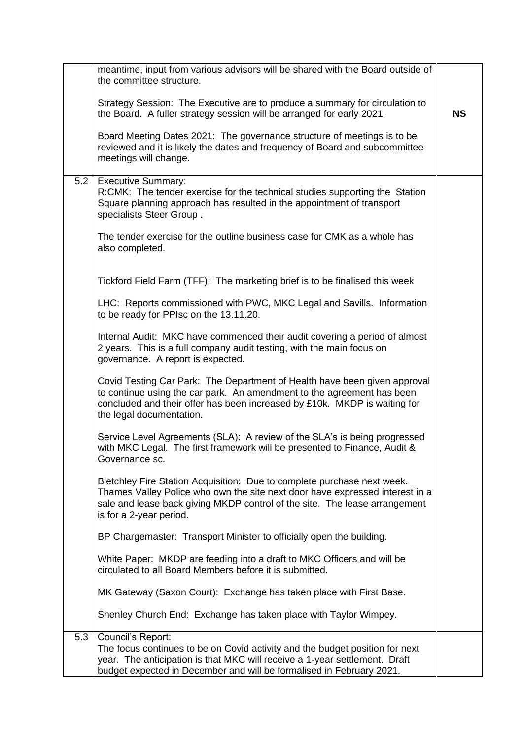|     | meantime, input from various advisors will be shared with the Board outside of<br>the committee structure.                                                                                                                                                       |           |
|-----|------------------------------------------------------------------------------------------------------------------------------------------------------------------------------------------------------------------------------------------------------------------|-----------|
|     | Strategy Session: The Executive are to produce a summary for circulation to<br>the Board. A fuller strategy session will be arranged for early 2021.                                                                                                             | <b>NS</b> |
|     | Board Meeting Dates 2021: The governance structure of meetings is to be<br>reviewed and it is likely the dates and frequency of Board and subcommittee<br>meetings will change.                                                                                  |           |
| 5.2 | <b>Executive Summary:</b><br>R:CMK: The tender exercise for the technical studies supporting the Station<br>Square planning approach has resulted in the appointment of transport<br>specialists Steer Group.                                                    |           |
|     | The tender exercise for the outline business case for CMK as a whole has<br>also completed.                                                                                                                                                                      |           |
|     | Tickford Field Farm (TFF): The marketing brief is to be finalised this week                                                                                                                                                                                      |           |
|     | LHC: Reports commissioned with PWC, MKC Legal and Savills. Information<br>to be ready for PPIsc on the 13.11.20.                                                                                                                                                 |           |
|     | Internal Audit: MKC have commenced their audit covering a period of almost<br>2 years. This is a full company audit testing, with the main focus on<br>governance. A report is expected.                                                                         |           |
|     | Covid Testing Car Park: The Department of Health have been given approval<br>to continue using the car park. An amendment to the agreement has been<br>concluded and their offer has been increased by £10k. MKDP is waiting for<br>the legal documentation.     |           |
|     | Service Level Agreements (SLA): A review of the SLA's is being progressed<br>with MKC Legal. The first framework will be presented to Finance, Audit &<br>Governance sc.                                                                                         |           |
|     | Bletchley Fire Station Acquisition: Due to complete purchase next week.<br>Thames Valley Police who own the site next door have expressed interest in a<br>sale and lease back giving MKDP control of the site. The lease arrangement<br>is for a 2-year period. |           |
|     | BP Chargemaster: Transport Minister to officially open the building.                                                                                                                                                                                             |           |
|     | White Paper: MKDP are feeding into a draft to MKC Officers and will be<br>circulated to all Board Members before it is submitted.                                                                                                                                |           |
|     | MK Gateway (Saxon Court): Exchange has taken place with First Base.                                                                                                                                                                                              |           |
|     | Shenley Church End: Exchange has taken place with Taylor Wimpey.                                                                                                                                                                                                 |           |
| 5.3 | Council's Report:                                                                                                                                                                                                                                                |           |
|     | The focus continues to be on Covid activity and the budget position for next<br>year. The anticipation is that MKC will receive a 1-year settlement. Draft<br>budget expected in December and will be formalised in February 2021.                               |           |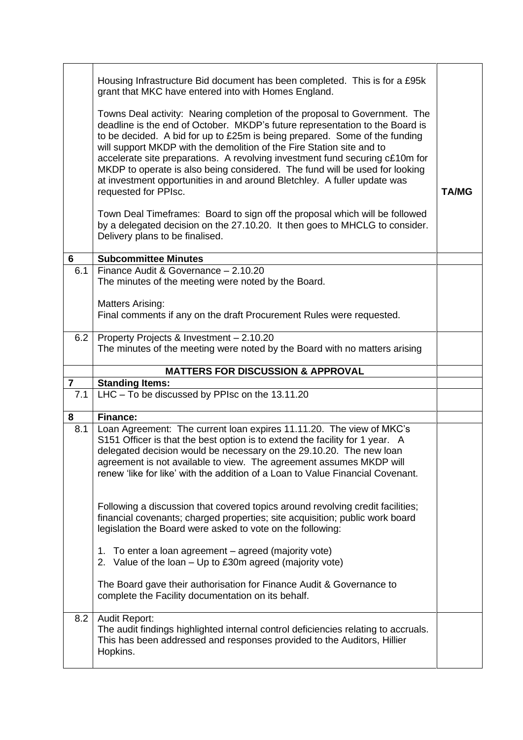| 6              | Housing Infrastructure Bid document has been completed. This is for a £95k<br>grant that MKC have entered into with Homes England.<br>Towns Deal activity: Nearing completion of the proposal to Government. The<br>deadline is the end of October. MKDP's future representation to the Board is<br>to be decided. A bid for up to £25m is being prepared. Some of the funding<br>will support MKDP with the demolition of the Fire Station site and to<br>accelerate site preparations. A revolving investment fund securing c£10m for<br>MKDP to operate is also being considered. The fund will be used for looking<br>at investment opportunities in and around Bletchley. A fuller update was<br>requested for PPIsc.<br>Town Deal Timeframes: Board to sign off the proposal which will be followed<br>by a delegated decision on the 27.10.20. It then goes to MHCLG to consider.<br>Delivery plans to be finalised.<br><b>Subcommittee Minutes</b> | <b>TA/MG</b> |
|----------------|------------------------------------------------------------------------------------------------------------------------------------------------------------------------------------------------------------------------------------------------------------------------------------------------------------------------------------------------------------------------------------------------------------------------------------------------------------------------------------------------------------------------------------------------------------------------------------------------------------------------------------------------------------------------------------------------------------------------------------------------------------------------------------------------------------------------------------------------------------------------------------------------------------------------------------------------------------|--------------|
| 6.1            | Finance Audit & Governance - 2.10.20                                                                                                                                                                                                                                                                                                                                                                                                                                                                                                                                                                                                                                                                                                                                                                                                                                                                                                                       |              |
|                | The minutes of the meeting were noted by the Board.                                                                                                                                                                                                                                                                                                                                                                                                                                                                                                                                                                                                                                                                                                                                                                                                                                                                                                        |              |
|                | <b>Matters Arising:</b>                                                                                                                                                                                                                                                                                                                                                                                                                                                                                                                                                                                                                                                                                                                                                                                                                                                                                                                                    |              |
|                | Final comments if any on the draft Procurement Rules were requested.                                                                                                                                                                                                                                                                                                                                                                                                                                                                                                                                                                                                                                                                                                                                                                                                                                                                                       |              |
| 6.2            | Property Projects & Investment - 2.10.20<br>The minutes of the meeting were noted by the Board with no matters arising                                                                                                                                                                                                                                                                                                                                                                                                                                                                                                                                                                                                                                                                                                                                                                                                                                     |              |
|                |                                                                                                                                                                                                                                                                                                                                                                                                                                                                                                                                                                                                                                                                                                                                                                                                                                                                                                                                                            |              |
| $\overline{7}$ | <b>MATTERS FOR DISCUSSION &amp; APPROVAL</b><br><b>Standing Items:</b>                                                                                                                                                                                                                                                                                                                                                                                                                                                                                                                                                                                                                                                                                                                                                                                                                                                                                     |              |
| 7.1            | LHC - To be discussed by PPIsc on the 13.11.20                                                                                                                                                                                                                                                                                                                                                                                                                                                                                                                                                                                                                                                                                                                                                                                                                                                                                                             |              |
|                |                                                                                                                                                                                                                                                                                                                                                                                                                                                                                                                                                                                                                                                                                                                                                                                                                                                                                                                                                            |              |
| 8              | <b>Finance:</b>                                                                                                                                                                                                                                                                                                                                                                                                                                                                                                                                                                                                                                                                                                                                                                                                                                                                                                                                            |              |
| 8.1            | Loan Agreement: The current loan expires 11.11.20. The view of MKC's<br>S151 Officer is that the best option is to extend the facility for 1 year. A<br>delegated decision would be necessary on the 29.10.20. The new loan<br>agreement is not available to view. The agreement assumes MKDP will<br>renew 'like for like' with the addition of a Loan to Value Financial Covenant.<br>Following a discussion that covered topics around revolving credit facilities;<br>financial covenants; charged properties; site acquisition; public work board                                                                                                                                                                                                                                                                                                                                                                                                     |              |
|                | legislation the Board were asked to vote on the following:                                                                                                                                                                                                                                                                                                                                                                                                                                                                                                                                                                                                                                                                                                                                                                                                                                                                                                 |              |
|                | 1. To enter a loan agreement – agreed (majority vote)<br>2. Value of the loan – Up to £30m agreed (majority vote)                                                                                                                                                                                                                                                                                                                                                                                                                                                                                                                                                                                                                                                                                                                                                                                                                                          |              |
|                | The Board gave their authorisation for Finance Audit & Governance to<br>complete the Facility documentation on its behalf.                                                                                                                                                                                                                                                                                                                                                                                                                                                                                                                                                                                                                                                                                                                                                                                                                                 |              |
| 8.2            | <b>Audit Report:</b><br>The audit findings highlighted internal control deficiencies relating to accruals.<br>This has been addressed and responses provided to the Auditors, Hillier<br>Hopkins.                                                                                                                                                                                                                                                                                                                                                                                                                                                                                                                                                                                                                                                                                                                                                          |              |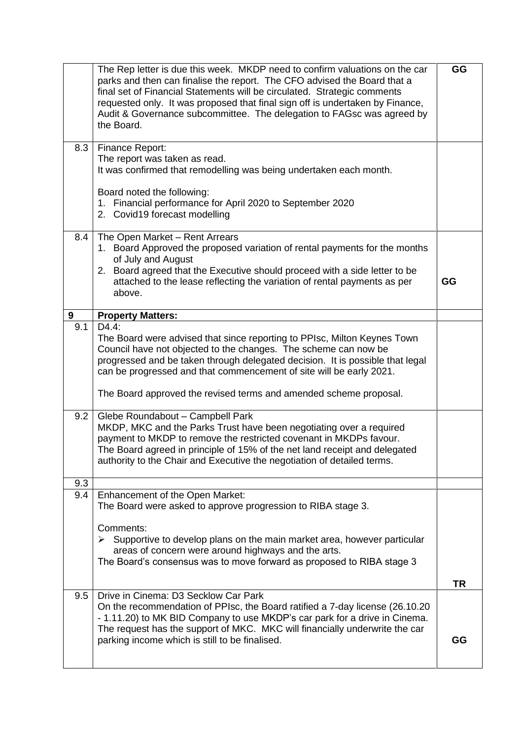|     | The Rep letter is due this week. MKDP need to confirm valuations on the car<br>parks and then can finalise the report. The CFO advised the Board that a<br>final set of Financial Statements will be circulated. Strategic comments<br>requested only. It was proposed that final sign off is undertaken by Finance,<br>Audit & Governance subcommittee. The delegation to FAGsc was agreed by<br>the Board. | GG        |
|-----|--------------------------------------------------------------------------------------------------------------------------------------------------------------------------------------------------------------------------------------------------------------------------------------------------------------------------------------------------------------------------------------------------------------|-----------|
| 8.3 | <b>Finance Report:</b>                                                                                                                                                                                                                                                                                                                                                                                       |           |
|     | The report was taken as read.<br>It was confirmed that remodelling was being undertaken each month.                                                                                                                                                                                                                                                                                                          |           |
|     | Board noted the following:<br>1. Financial performance for April 2020 to September 2020                                                                                                                                                                                                                                                                                                                      |           |
|     | 2. Covid19 forecast modelling                                                                                                                                                                                                                                                                                                                                                                                |           |
| 8.4 | The Open Market - Rent Arrears                                                                                                                                                                                                                                                                                                                                                                               |           |
|     | 1. Board Approved the proposed variation of rental payments for the months<br>of July and August                                                                                                                                                                                                                                                                                                             |           |
|     | 2. Board agreed that the Executive should proceed with a side letter to be<br>attached to the lease reflecting the variation of rental payments as per<br>above.                                                                                                                                                                                                                                             | GG        |
| 9   | <b>Property Matters:</b>                                                                                                                                                                                                                                                                                                                                                                                     |           |
| 9.1 | D4.4:<br>The Board were advised that since reporting to PPIsc, Milton Keynes Town<br>Council have not objected to the changes. The scheme can now be<br>progressed and be taken through delegated decision. It is possible that legal<br>can be progressed and that commencement of site will be early 2021.                                                                                                 |           |
|     | The Board approved the revised terms and amended scheme proposal.                                                                                                                                                                                                                                                                                                                                            |           |
| 9.2 | Glebe Roundabout - Campbell Park<br>MKDP, MKC and the Parks Trust have been negotiating over a required<br>payment to MKDP to remove the restricted covenant in MKDPs favour.<br>The Board agreed in principle of 15% of the net land receipt and delegated<br>authority to the Chair and Executive the negotiation of detailed terms.                                                                       |           |
| 9.3 |                                                                                                                                                                                                                                                                                                                                                                                                              |           |
| 9.4 | Enhancement of the Open Market:<br>The Board were asked to approve progression to RIBA stage 3.                                                                                                                                                                                                                                                                                                              |           |
|     | Comments:<br>$\triangleright$ Supportive to develop plans on the main market area, however particular<br>areas of concern were around highways and the arts.<br>The Board's consensus was to move forward as proposed to RIBA stage 3                                                                                                                                                                        |           |
|     |                                                                                                                                                                                                                                                                                                                                                                                                              | <b>TR</b> |
| 9.5 | Drive in Cinema: D3 Secklow Car Park<br>On the recommendation of PPIsc, the Board ratified a 7-day license (26.10.20<br>- 1.11.20) to MK BID Company to use MKDP's car park for a drive in Cinema.<br>The request has the support of MKC. MKC will financially underwrite the car                                                                                                                            |           |
|     | parking income which is still to be finalised.                                                                                                                                                                                                                                                                                                                                                               | GG        |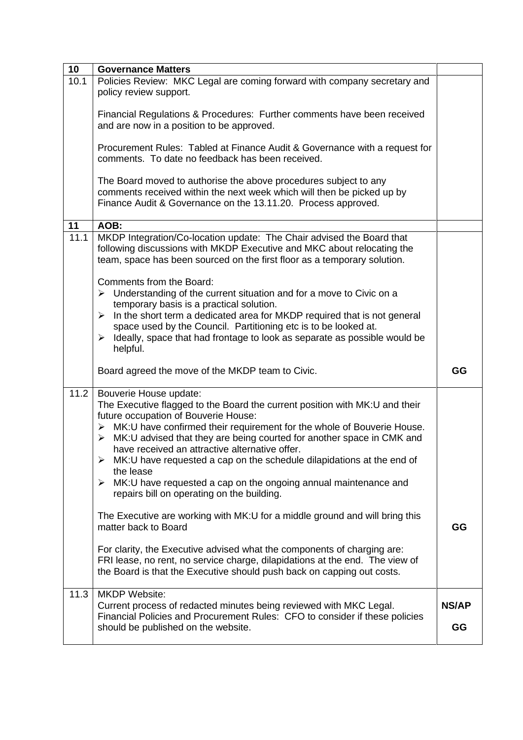| 10   | <b>Governance Matters</b>                                                                                                                                                                                                                                                                                                                                                                                                                                                                                                                                                               |       |
|------|-----------------------------------------------------------------------------------------------------------------------------------------------------------------------------------------------------------------------------------------------------------------------------------------------------------------------------------------------------------------------------------------------------------------------------------------------------------------------------------------------------------------------------------------------------------------------------------------|-------|
| 10.1 | Policies Review: MKC Legal are coming forward with company secretary and<br>policy review support.                                                                                                                                                                                                                                                                                                                                                                                                                                                                                      |       |
|      | Financial Regulations & Procedures: Further comments have been received<br>and are now in a position to be approved.                                                                                                                                                                                                                                                                                                                                                                                                                                                                    |       |
|      | Procurement Rules: Tabled at Finance Audit & Governance with a request for<br>comments. To date no feedback has been received.                                                                                                                                                                                                                                                                                                                                                                                                                                                          |       |
|      | The Board moved to authorise the above procedures subject to any<br>comments received within the next week which will then be picked up by<br>Finance Audit & Governance on the 13.11.20. Process approved.                                                                                                                                                                                                                                                                                                                                                                             |       |
| 11   | AOB:                                                                                                                                                                                                                                                                                                                                                                                                                                                                                                                                                                                    |       |
| 11.1 | MKDP Integration/Co-location update: The Chair advised the Board that<br>following discussions with MKDP Executive and MKC about relocating the<br>team, space has been sourced on the first floor as a temporary solution.                                                                                                                                                                                                                                                                                                                                                             |       |
|      | Comments from the Board:<br>$\triangleright$ Understanding of the current situation and for a move to Civic on a<br>temporary basis is a practical solution.<br>In the short term a dedicated area for MKDP required that is not general<br>➤<br>space used by the Council. Partitioning etc is to be looked at.<br>$\triangleright$ Ideally, space that had frontage to look as separate as possible would be<br>helpful.                                                                                                                                                              |       |
|      | Board agreed the move of the MKDP team to Civic.                                                                                                                                                                                                                                                                                                                                                                                                                                                                                                                                        | GG    |
| 11.2 | Bouverie House update:<br>The Executive flagged to the Board the current position with MK:U and their<br>future occupation of Bouverie House:<br>> MK:U have confirmed their requirement for the whole of Bouverie House.<br>MK:U advised that they are being courted for another space in CMK and<br>≻<br>have received an attractive alternative offer.<br>$\triangleright$ MK:U have requested a cap on the schedule dilapidations at the end of<br>the lease<br>MK: U have requested a cap on the ongoing annual maintenance and<br>➤<br>repairs bill on operating on the building. |       |
|      | The Executive are working with MK:U for a middle ground and will bring this<br>matter back to Board                                                                                                                                                                                                                                                                                                                                                                                                                                                                                     | GG    |
|      | For clarity, the Executive advised what the components of charging are:<br>FRI lease, no rent, no service charge, dilapidations at the end. The view of<br>the Board is that the Executive should push back on capping out costs.                                                                                                                                                                                                                                                                                                                                                       |       |
| 11.3 | <b>MKDP Website:</b>                                                                                                                                                                                                                                                                                                                                                                                                                                                                                                                                                                    |       |
|      | Current process of redacted minutes being reviewed with MKC Legal.                                                                                                                                                                                                                                                                                                                                                                                                                                                                                                                      | NS/AP |
|      | Financial Policies and Procurement Rules: CFO to consider if these policies<br>should be published on the website.                                                                                                                                                                                                                                                                                                                                                                                                                                                                      | GG    |